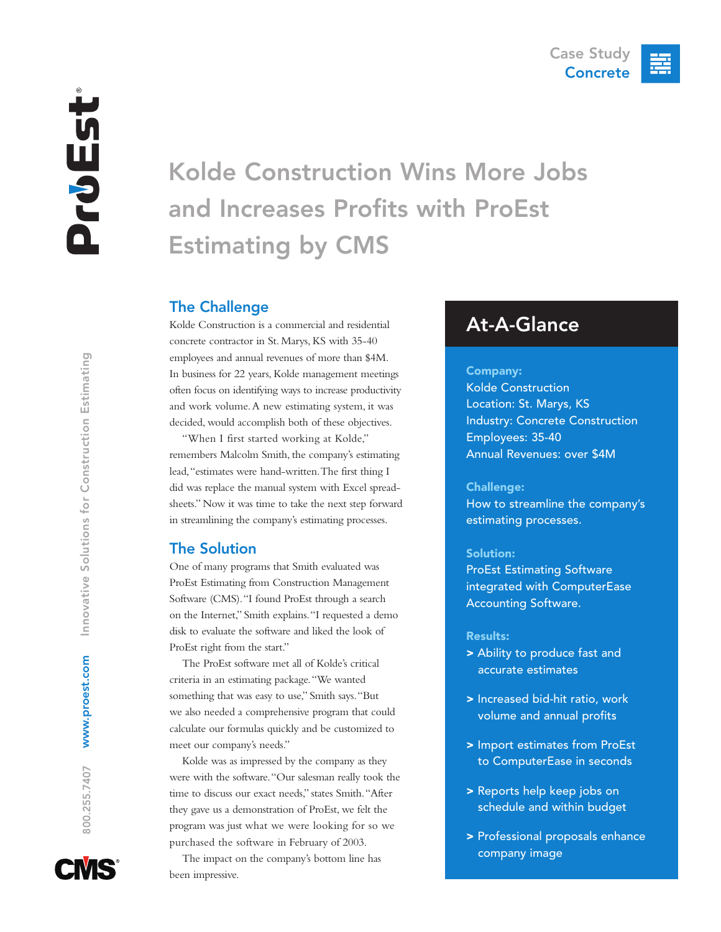# Kolde Construction Wins More Jobs and Increases Profits with ProEst Estimating by CMS

# The Challenge

Kolde Construction is a commercial and residential concrete contractor in St. Marys, KS with 35-40 employees and annual revenues of more than \$4M. In business for 22 years, Kolde management meetings often focus on identifying ways to increase productivity and work volume.A new estimating system, it was decided, would accomplish both of these objectives.

"When I first started working at Kolde," remembers Malcolm Smith, the company's estimating lead,"estimates were hand-written.The first thing I did was replace the manual system with Excel spreadsheets." Now it was time to take the next step forward in streamlining the company's estimating processes.

# The Solution

One of many programs that Smith evaluated was ProEst Estimating from Construction Management Software (CMS)."I found ProEst through a search on the Internet," Smith explains."I requested a demo disk to evaluate the software and liked the look of ProEst right from the start."

The ProEst software met all of Kolde's critical criteria in an estimating package."We wanted something that was easy to use," Smith says."But we also needed a comprehensive program that could calculate our formulas quickly and be customized to meet our company's needs."

Kolde was as impressed by the company as they were with the software."Our salesman really took the time to discuss our exact needs," states Smith."After they gave us a demonstration of ProEst, we felt the program was just what we were looking for so we purchased the software in February of 2003.

The impact on the company's bottom line has been impressive.

# At-A-Glance

#### Company:

Kolde Construction Location: St. Marys, KS Industry: Concrete Construction Employees: 35-40 Annual Revenues: over \$4M

#### Challenge:

How to streamline the company's estimating processes.

#### Solution:

ProEst Estimating Software integrated with ComputerEase Accounting Software.

#### Results:

- > Ability to produce fast and accurate estimates
- > Increased bid-hit ratio, work volume and annual profits
- > Import estimates from ProEst to ComputerEase in seconds
- > Reports help keep jobs on schedule and within budget
- > Professional proposals enhance company image